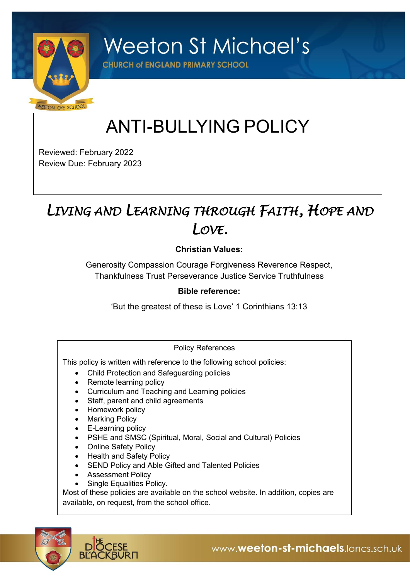

**Weeton St Michael's** 

**CHURCH of ENGLAND PRIMARY SCHOOL** 

# ANTI-BULLYING POLICY

Reviewed: February 2022 Review Due: February 2023

## *LIVING AND LEARNING THROUGH FAITH, HOPE AND LOVE.*

#### **Christian Values:**

Generosity Compassion Courage Forgiveness Reverence Respect, Thankfulness Trust Perseverance Justice Service Truthfulness

#### **Bible reference:**

'But the greatest of these is Love' 1 Corinthians 13:13

#### Policy References

This policy is written with reference to the following school policies:

- Child Protection and Safeguarding policies
- Remote learning policy
- Curriculum and Teaching and Learning policies
- Staff, parent and child agreements
- Homework policy
- Marking Policy
- E-Learning policy
- PSHE and SMSC (Spiritual, Moral, Social and Cultural) Policies
- Online Safety Policy
- Health and Safety Policy
- SEND Policy and Able Gifted and Talented Policies
- Assessment Policy
- Single Equalities Policy.

Most of these policies are available on the school website. In addition, copies are available, on request, from the school office.

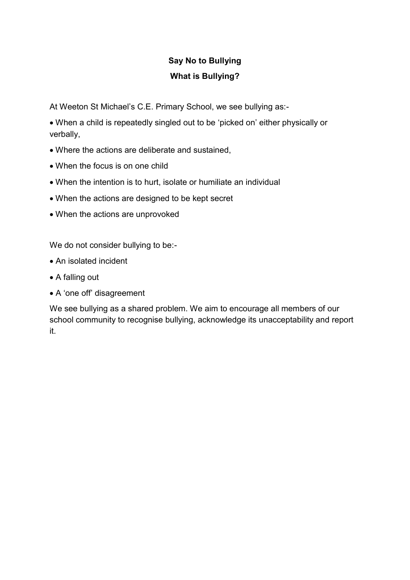### **Say No to Bullying What is Bullying?**

At Weeton St Michael's C.E. Primary School, we see bullying as:-

• When a child is repeatedly singled out to be 'picked on' either physically or verbally,

- Where the actions are deliberate and sustained,
- When the focus is on one child
- When the intention is to hurt, isolate or humiliate an individual
- When the actions are designed to be kept secret
- When the actions are unprovoked

We do not consider bullying to be:-

- An isolated incident
- A falling out
- A 'one off' disagreement

We see bullying as a shared problem. We aim to encourage all members of our school community to recognise bullying, acknowledge its unacceptability and report it.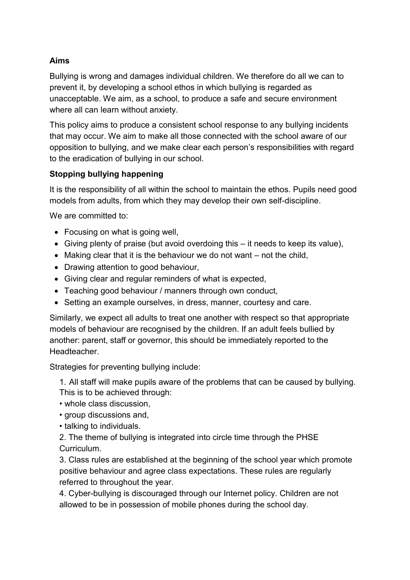#### **Aims**

Bullying is wrong and damages individual children. We therefore do all we can to prevent it, by developing a school ethos in which bullying is regarded as unacceptable. We aim, as a school, to produce a safe and secure environment where all can learn without anxiety.

This policy aims to produce a consistent school response to any bullying incidents that may occur. We aim to make all those connected with the school aware of our opposition to bullying, and we make clear each person's responsibilities with regard to the eradication of bullying in our school.

#### **Stopping bullying happening**

It is the responsibility of all within the school to maintain the ethos. Pupils need good models from adults, from which they may develop their own self-discipline.

We are committed to:

- Focusing on what is going well.
- Giving plenty of praise (but avoid overdoing this it needs to keep its value),
- Making clear that it is the behaviour we do not want not the child,
- Drawing attention to good behaviour,
- Giving clear and regular reminders of what is expected,
- Teaching good behaviour / manners through own conduct,
- Setting an example ourselves, in dress, manner, courtesy and care.

Similarly, we expect all adults to treat one another with respect so that appropriate models of behaviour are recognised by the children. If an adult feels bullied by another: parent, staff or governor, this should be immediately reported to the **Headteacher** 

Strategies for preventing bullying include:

1. All staff will make pupils aware of the problems that can be caused by bullying. This is to be achieved through:

- whole class discussion,
- group discussions and,
- talking to individuals.

2. The theme of bullying is integrated into circle time through the PHSE Curriculum.

3. Class rules are established at the beginning of the school year which promote positive behaviour and agree class expectations. These rules are regularly referred to throughout the year.

4. Cyber-bullying is discouraged through our Internet policy. Children are not allowed to be in possession of mobile phones during the school day.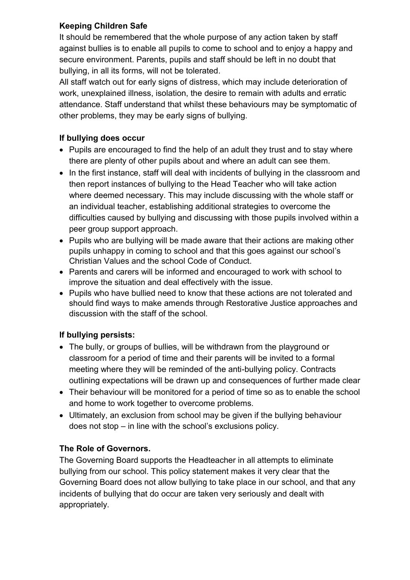#### **Keeping Children Safe**

It should be remembered that the whole purpose of any action taken by staff against bullies is to enable all pupils to come to school and to enjoy a happy and secure environment. Parents, pupils and staff should be left in no doubt that bullying, in all its forms, will not be tolerated.

All staff watch out for early signs of distress, which may include deterioration of work, unexplained illness, isolation, the desire to remain with adults and erratic attendance. Staff understand that whilst these behaviours may be symptomatic of other problems, they may be early signs of bullying.

#### **If bullying does occur**

- Pupils are encouraged to find the help of an adult they trust and to stay where there are plenty of other pupils about and where an adult can see them.
- In the first instance, staff will deal with incidents of bullying in the classroom and then report instances of bullying to the Head Teacher who will take action where deemed necessary. This may include discussing with the whole staff or an individual teacher, establishing additional strategies to overcome the difficulties caused by bullying and discussing with those pupils involved within a peer group support approach.
- Pupils who are bullying will be made aware that their actions are making other pupils unhappy in coming to school and that this goes against our school's Christian Values and the school Code of Conduct.
- Parents and carers will be informed and encouraged to work with school to improve the situation and deal effectively with the issue.
- Pupils who have bullied need to know that these actions are not tolerated and should find ways to make amends through Restorative Justice approaches and discussion with the staff of the school.

#### **If bullying persists:**

- The bully, or groups of bullies, will be withdrawn from the playground or classroom for a period of time and their parents will be invited to a formal meeting where they will be reminded of the anti-bullying policy. Contracts outlining expectations will be drawn up and consequences of further made clear
- Their behaviour will be monitored for a period of time so as to enable the school and home to work together to overcome problems.
- Ultimately, an exclusion from school may be given if the bullying behaviour does not stop – in line with the school's exclusions policy.

#### **The Role of Governors.**

The Governing Board supports the Headteacher in all attempts to eliminate bullying from our school. This policy statement makes it very clear that the Governing Board does not allow bullying to take place in our school, and that any incidents of bullying that do occur are taken very seriously and dealt with appropriately.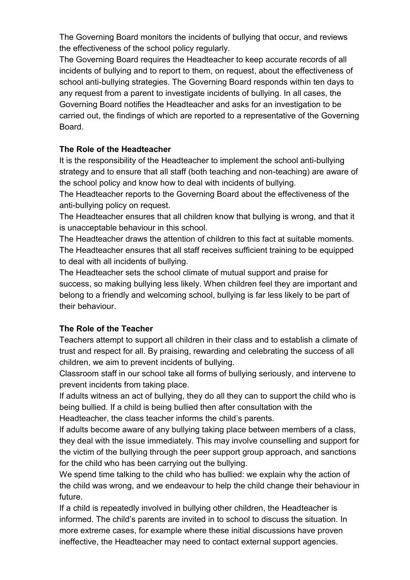The Governing Board monitors the incidents of bullying that occur, and reviews the effectiveness of the school policy regularly.

The Governing Board requires the Headteacher to keep accurate records of all incidents of bullying and to report to them, on request, about the effectiveness of school anti-bullying strategies. The Governing Board responds within ten days to any request from a parent to investigate incidents of bullying. In all cases, the Governing Board notifies the Headteacher and asks for an investigation to be carried out, the findings of which are reported to a representative of the Governing **Board** 

#### **The Role of the Headteacher**

It is the responsibility of the Headteacher to implement the school anti-bullying strategy and to ensure that all staff (both teaching and non-teaching) are aware of the school policy and know how to deal with incidents of bullying.

The Headteacher reports to the Governing Board about the effectiveness of the anti-bullying policy on request.

The Headteacher ensures that all children know that bullying is wrong, and that it is unacceptable behaviour in this school.

The Headteacher draws the attention of children to this fact at suitable moments. The Headteacher ensures that all staff receives sufficient training to be equipped to deal with all incidents of bullying.

The Headteacher sets the school climate of mutual support and praise for success, so making bullying less likely. When children feel they are important and belong to a friendly and welcoming school, bullying is far less likely to be part of their behaviour.

#### **The Role of the Teacher**

Teachers attempt to support all children in their class and to establish a climate of trust and respect for all. By praising, rewarding and celebrating the success of all children, we aim to prevent incidents of bullying.

Classroom staff in our school take all forms of bullying seriously, and intervene to prevent incidents from taking place.

If adults witness an act of bullying, they do all they can to support the child who is being bullied. If a child is being bullied then after consultation with the Headteacher, the class teacher informs the child's parents.

If adults become aware of any bullying taking place between members of a class, they deal with the issue immediately. This may involve counselling and support for the victim of the bullying through the peer support group approach, and sanctions for the child who has been carrying out the bullying.

We spend time talking to the child who has bullied: we explain why the action of the child was wrong, and we endeavour to help the child change their behaviour in future.

If a child is repeatedly involved in bullying other children, the Headteacher is informed. The child's parents are invited in to school to discuss the situation. In more extreme cases, for example where these initial discussions have proven ineffective, the Headteacher may need to contact external support agencies.